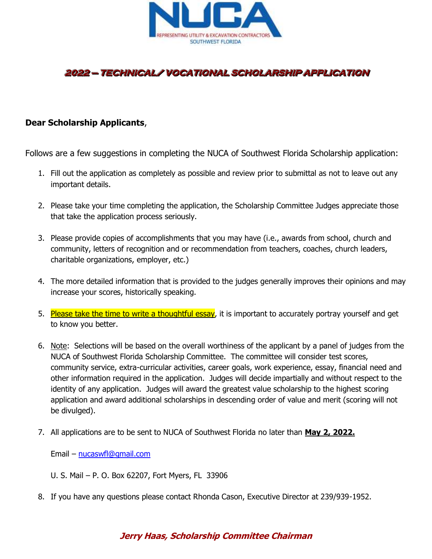

# **2022 - TECHNICAL/ VOCATIONAL SCHOLARSHIP APPLICATION**

## **Dear Scholarship Applicants**,

Follows are a few suggestions in completing the NUCA of Southwest Florida Scholarship application:

- 1. Fill out the application as completely as possible and review prior to submittal as not to leave out any important details.
- 2. Please take your time completing the application, the Scholarship Committee Judges appreciate those that take the application process seriously.
- 3. Please provide copies of accomplishments that you may have (i.e., awards from school, church and community, letters of recognition and or recommendation from teachers, coaches, church leaders, charitable organizations, employer, etc.)
- 4. The more detailed information that is provided to the judges generally improves their opinions and may increase your scores, historically speaking.
- 5. Please take the time to write a thoughtful essay, it is important to accurately portray yourself and get to know you better.
- 6. Note: Selections will be based on the overall worthiness of the applicant by a panel of judges from the NUCA of Southwest Florida Scholarship Committee. The committee will consider test scores, community service, extra-curricular activities, career goals, work experience, essay, financial need and other information required in the application. Judges will decide impartially and without respect to the identity of any application. Judges will award the greatest value scholarship to the highest scoring application and award additional scholarships in descending order of value and merit (scoring will not be divulged).
- 7. All applications are to be sent to NUCA of Southwest Florida no later than **May 2, 2022.**

Email – [nucaswfl@gmail.com](mailto:nucaswfl@gmail.com)

- U. S. Mail P. O. Box 62207, Fort Myers, FL 33906
- 8. If you have any questions please contact Rhonda Cason, Executive Director at 239/939-1952.

# **Jerry Haas, Scholarship Committee Chairman**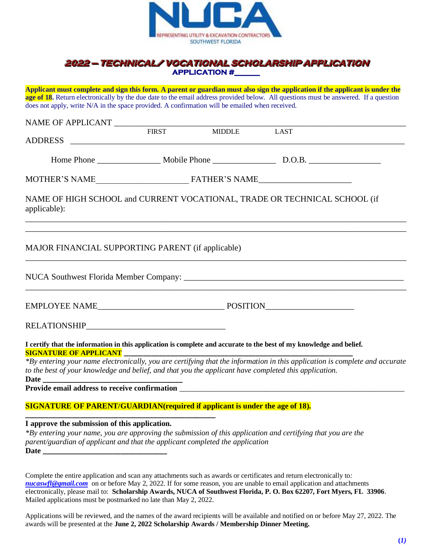

### **2022 — TECHNICAL/ VOCATIONAL SCHOLARSHIP APPLICATION APPLICATION #\_\_\_\_\_\_**

**Applicant must complete and sign this form. A parent or guardian must also sign the application if the applicant is under the age of 18.** Return electronically by the due date to the email address provided below. All questions must be answered. If a question does not apply, write N/A in the space provided. A confirmation will be emailed when received.

| NAME OF APPLICANT                                                                                     |  |                   |                                                                                                                             |
|-------------------------------------------------------------------------------------------------------|--|-------------------|-----------------------------------------------------------------------------------------------------------------------------|
|                                                                                                       |  | FIRST MIDDLE LAST |                                                                                                                             |
|                                                                                                       |  |                   |                                                                                                                             |
|                                                                                                       |  |                   |                                                                                                                             |
|                                                                                                       |  |                   |                                                                                                                             |
| applicable):                                                                                          |  |                   | NAME OF HIGH SCHOOL and CURRENT VOCATIONAL, TRADE OR TECHNICAL SCHOOL (if                                                   |
| <b>MAJOR FINANCIAL SUPPORTING PARENT (if applicable)</b>                                              |  |                   | ,我们也不会有什么。""我们的人,我们也不会有什么?""我们的人,我们也不会有什么?""我们的人,我们也不会有什么?""我们的人,我们也不会有什么?""我们的人                                            |
|                                                                                                       |  |                   |                                                                                                                             |
|                                                                                                       |  |                   |                                                                                                                             |
|                                                                                                       |  |                   |                                                                                                                             |
| <b>SIGNATURE OF APPLICANT</b>                                                                         |  |                   | I certify that the information in this application is complete and accurate to the best of my knowledge and belief.         |
| to the best of your knowledge and belief, and that you the applicant have completed this application. |  |                   | *By entering your name electronically, you are certifying that the information in this application is complete and accurate |
|                                                                                                       |  |                   |                                                                                                                             |
|                                                                                                       |  |                   |                                                                                                                             |
| <b>SIGNATURE OF PARENT/GUARDIAN(required if applicant is under the age of 18).</b>                    |  |                   |                                                                                                                             |
| I approve the submission of this application.                                                         |  |                   |                                                                                                                             |

*\*By entering your name, you are approving the submission of this application and certifying that you are the parent/guardian of applicant and that the applicant completed the application* **Date \_\_\_\_\_\_\_\_\_\_\_\_\_\_\_\_\_\_\_\_\_\_\_\_\_\_\_\_\_\_\_\_**

Complete the entire application and scan any attachments such as awards or certificates and return electronically to*: [nucaswfl@gmail.com](mailto:nucaswfl@gmail.com)* on or before May 2, 2022. If for some reason, you are unable to email application and attachments electronically, please mail to: **Scholarship Awards, NUCA of Southwest Florida, P. O. Box 62207, Fort Myers, FL 33906**. Mailed applications must be postmarked no late than May 2, 2022.

Applications will be reviewed, and the names of the award recipients will be available and notified on or before May 27, 2022. The awards will be presented at the **June 2, 2022 Scholarship Awards / Membership Dinner Meeting.**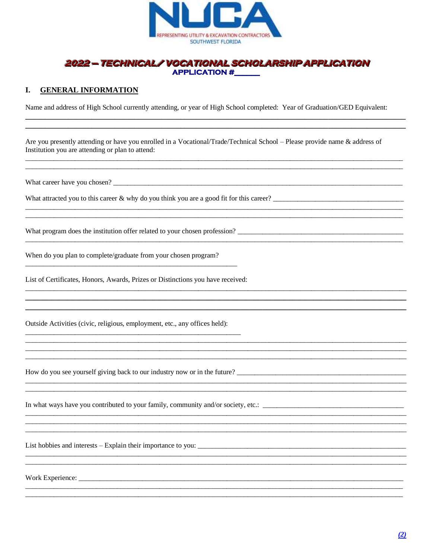

### 2022 — TECHNICAL/ VOCATIONAL SCHOLARSHIP APPLICATION **APPLICATION #**

#### I. **GENERAL INFORMATION**

Name and address of High School currently attending, or year of High School completed: Year of Graduation/GED Equivalent:

Are you presently attending or have you enrolled in a Vocational/Trade/Technical School – Please provide name & address of Institution you are attending or plan to attend:

What career have you chosen?

What program does the institution offer related to your chosen profession?

When do you plan to complete/graduate from your chosen program?

List of Certificates, Honors, Awards, Prizes or Distinctions you have received:

Outside Activities (civic, religious, employment, etc., any offices held):

How do you see yourself giving back to our industry now or in the future? \_\_\_\_\_\_\_\_\_\_\_\_\_\_\_\_\_\_\_\_\_\_\_\_\_\_